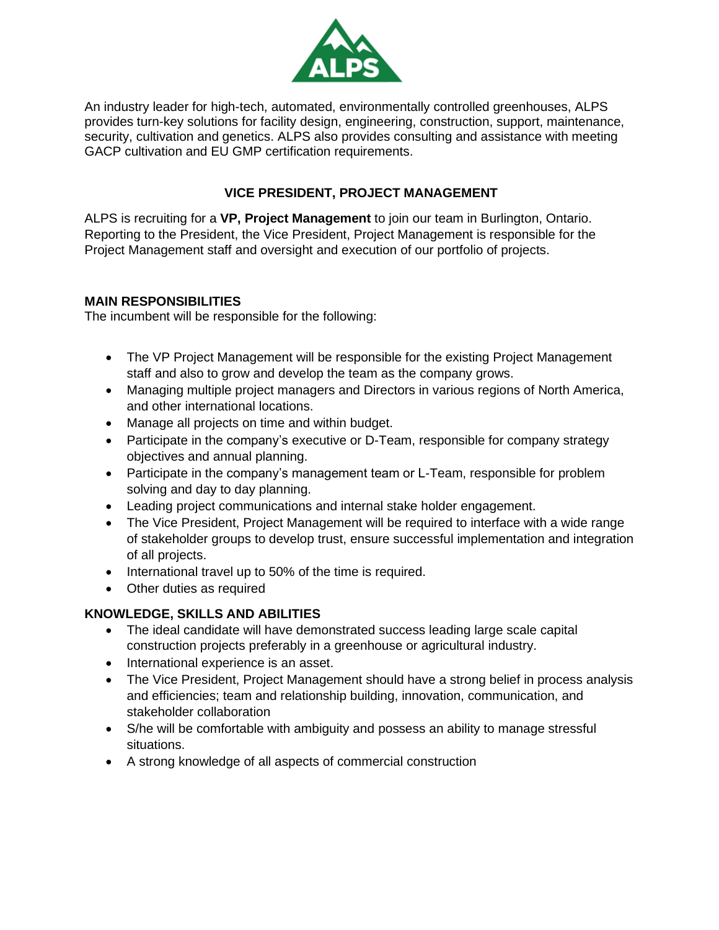

An industry leader for high-tech, automated, environmentally controlled greenhouses, ALPS provides turn-key solutions for facility design, engineering, construction, support, maintenance, security, cultivation and genetics. ALPS also provides consulting and assistance with meeting GACP cultivation and EU GMP certification requirements.

## **VICE PRESIDENT, PROJECT MANAGEMENT**

ALPS is recruiting for a **VP, Project Management** to join our team in Burlington, Ontario. Reporting to the President, the Vice President, Project Management is responsible for the Project Management staff and oversight and execution of our portfolio of projects.

## **MAIN RESPONSIBILITIES**

The incumbent will be responsible for the following:

- The VP Project Management will be responsible for the existing Project Management staff and also to grow and develop the team as the company grows.
- Managing multiple project managers and Directors in various regions of North America, and other international locations.
- Manage all projects on time and within budget.
- Participate in the company's executive or D-Team, responsible for company strategy objectives and annual planning.
- Participate in the company's management team or L-Team, responsible for problem solving and day to day planning.
- Leading project communications and internal stake holder engagement.
- The Vice President, Project Management will be required to interface with a wide range of stakeholder groups to develop trust, ensure successful implementation and integration of all projects.
- International travel up to 50% of the time is required.
- Other duties as required

## **KNOWLEDGE, SKILLS AND ABILITIES**

- The ideal candidate will have demonstrated success leading large scale capital construction projects preferably in a greenhouse or agricultural industry.
- International experience is an asset.
- The Vice President, Project Management should have a strong belief in process analysis and efficiencies; team and relationship building, innovation, communication, and stakeholder collaboration
- S/he will be comfortable with ambiguity and possess an ability to manage stressful situations.
- A strong knowledge of all aspects of commercial construction